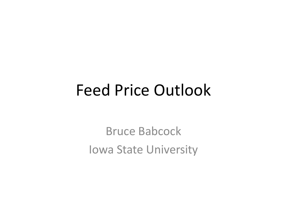### Feed Price Outlook

Bruce Babcock Iowa State University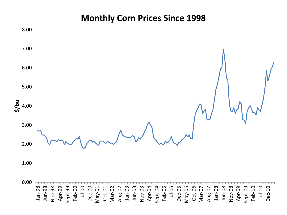#### **Monthly Corn Prices Since 1998**

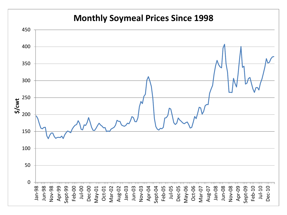#### **Monthly Soymeal Prices Since 1998**

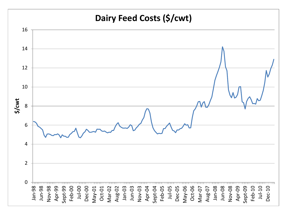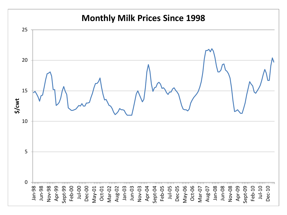#### **Monthly Milk Prices Since 1998**

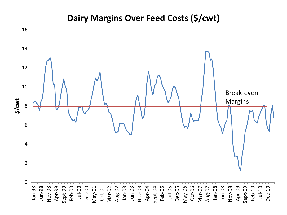#### **Dairy Margins Over Feed Costs (\$/cwt)**

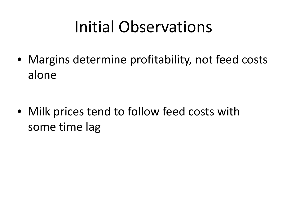# Initial Observations

• Margins determine profitability, not feed costs alone

• Milk prices tend to follow feed costs with some time lag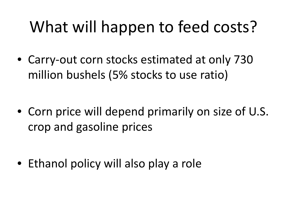# What will happen to feed costs?

• Carry-out corn stocks estimated at only 730 million bushels (5% stocks to use ratio)

• Corn price will depend primarily on size of U.S. crop and gasoline prices

• Ethanol policy will also play a role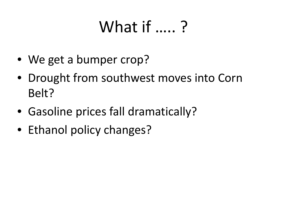# What if ….. ?

- We get a bumper crop?
- Drought from southwest moves into Corn Belt?
- Gasoline prices fall dramatically?
- Ethanol policy changes?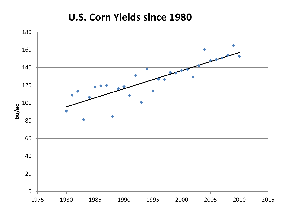#### **U.S. Corn Yields since 1980**

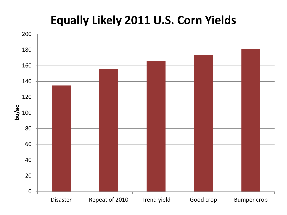#### **Equally Likely 2011 U.S. Corn Yields**

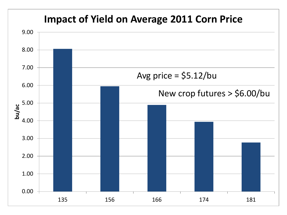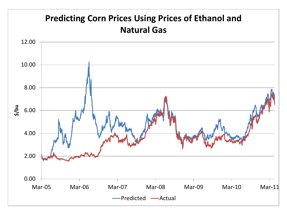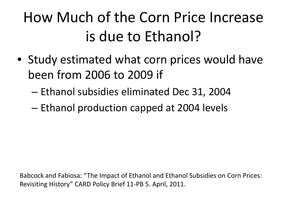# How Much of the Corn Price Increase is due to Ethanol?

- Study estimated what corn prices would have been from 2006 to 2009 if
	- Ethanol subsidies eliminated Dec 31, 2004
	- Ethanol production capped at 2004 levels

Babcock and Fabiosa: "The Impact of Ethanol and Ethanol Subsidies on Corn Prices: Revisiting History" CARD Policy Brief 11-PB 5. April, 2011.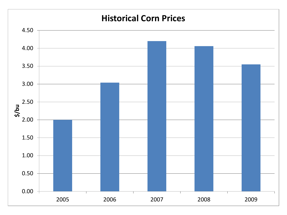#### **Historical Corn Prices**

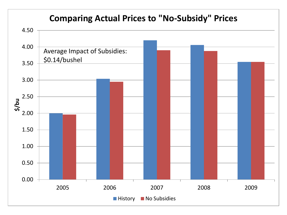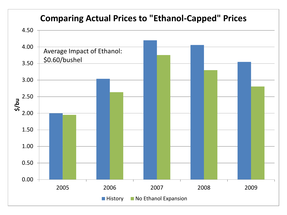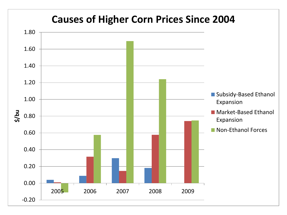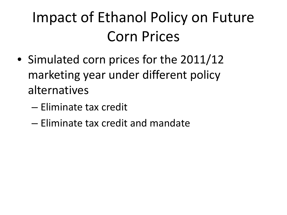# Impact of Ethanol Policy on Future Corn Prices

- Simulated corn prices for the 2011/12 marketing year under different policy alternatives
	- Eliminate tax credit
	- Eliminate tax credit and mandate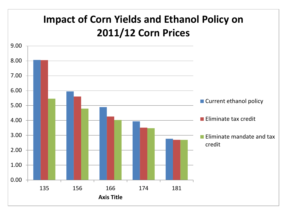